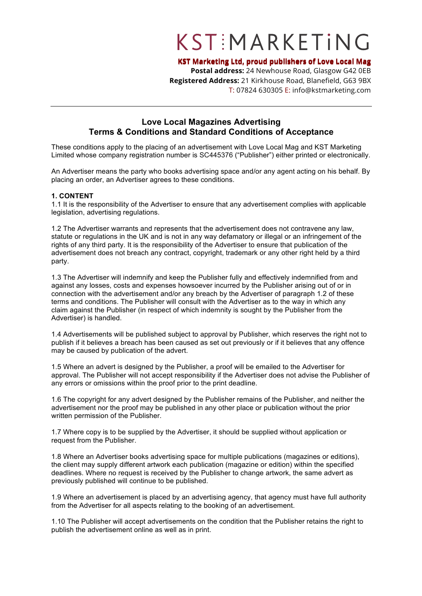# KSTEMARKETING

**KST Marketing Ltd, proud publishers of Love Local Mag**

**Postal address:** 24 Newhouse Road, Glasgow G42 0EB **Registered Address:** 21 Kirkhouse Road, Blanefield, G63 9BX T: 07824 630305 E: info@kstmarketing.com

### **Love Local Magazines Advertising Terms & Conditions and Standard Conditions of Acceptance**

These conditions apply to the placing of an advertisement with Love Local Mag and KST Marketing Limited whose company registration number is SC445376 ("Publisher") either printed or electronically.

An Advertiser means the party who books advertising space and/or any agent acting on his behalf. By placing an order, an Advertiser agrees to these conditions.

### **1. CONTENT**

1.1 It is the responsibility of the Advertiser to ensure that any advertisement complies with applicable legislation, advertising regulations.

1.2 The Advertiser warrants and represents that the advertisement does not contravene any law, statute or regulations in the UK and is not in any way defamatory or illegal or an infringement of the rights of any third party. It is the responsibility of the Advertiser to ensure that publication of the advertisement does not breach any contract, copyright, trademark or any other right held by a third party.

1.3 The Advertiser will indemnify and keep the Publisher fully and effectively indemnified from and against any losses, costs and expenses howsoever incurred by the Publisher arising out of or in connection with the advertisement and/or any breach by the Advertiser of paragraph 1.2 of these terms and conditions. The Publisher will consult with the Advertiser as to the way in which any claim against the Publisher (in respect of which indemnity is sought by the Publisher from the Advertiser) is handled.

1.4 Advertisements will be published subject to approval by Publisher, which reserves the right not to publish if it believes a breach has been caused as set out previously or if it believes that any offence may be caused by publication of the advert.

1.5 Where an advert is designed by the Publisher, a proof will be emailed to the Advertiser for approval. The Publisher will not accept responsibility if the Advertiser does not advise the Publisher of any errors or omissions within the proof prior to the print deadline.

1.6 The copyright for any advert designed by the Publisher remains of the Publisher, and neither the advertisement nor the proof may be published in any other place or publication without the prior written permission of the Publisher.

1.7 Where copy is to be supplied by the Advertiser, it should be supplied without application or request from the Publisher.

1.8 Where an Advertiser books advertising space for multiple publications (magazines or editions), the client may supply different artwork each publication (magazine or edition) within the specified deadlines. Where no request is received by the Publisher to change artwork, the same advert as previously published will continue to be published.

1.9 Where an advertisement is placed by an advertising agency, that agency must have full authority from the Advertiser for all aspects relating to the booking of an advertisement.

1.10 The Publisher will accept advertisements on the condition that the Publisher retains the right to publish the advertisement online as well as in print.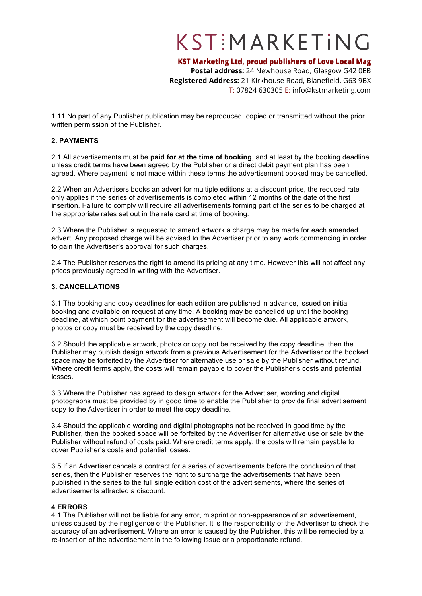## KSTEMARKETING

**KST Marketing Ltd, proud publishers of Love Local Mag**

**Postal address:** 24 Newhouse Road, Glasgow G42 0EB **Registered Address:** 21 Kirkhouse Road, Blanefield, G63 9BX T: 07824 630305 E: info@kstmarketing.com

1.11 No part of any Publisher publication may be reproduced, copied or transmitted without the prior written permission of the Publisher.

#### **2. PAYMENTS**

2.1 All advertisements must be **paid for at the time of booking**, and at least by the booking deadline unless credit terms have been agreed by the Publisher or a direct debit payment plan has been agreed. Where payment is not made within these terms the advertisement booked may be cancelled.

2.2 When an Advertisers books an advert for multiple editions at a discount price, the reduced rate only applies if the series of advertisements is completed within 12 months of the date of the first insertion. Failure to comply will require all advertisements forming part of the series to be charged at the appropriate rates set out in the rate card at time of booking.

2.3 Where the Publisher is requested to amend artwork a charge may be made for each amended advert. Any proposed charge will be advised to the Advertiser prior to any work commencing in order to gain the Advertiser's approval for such charges.

2.4 The Publisher reserves the right to amend its pricing at any time. However this will not affect any prices previously agreed in writing with the Advertiser.

#### **3. CANCELLATIONS**

3.1 The booking and copy deadlines for each edition are published in advance, issued on initial booking and available on request at any time. A booking may be cancelled up until the booking deadline, at which point payment for the advertisement will become due. All applicable artwork, photos or copy must be received by the copy deadline.

3.2 Should the applicable artwork, photos or copy not be received by the copy deadline, then the Publisher may publish design artwork from a previous Advertisement for the Advertiser or the booked space may be forfeited by the Advertiser for alternative use or sale by the Publisher without refund. Where credit terms apply, the costs will remain payable to cover the Publisher's costs and potential losses.

3.3 Where the Publisher has agreed to design artwork for the Advertiser, wording and digital photographs must be provided by in good time to enable the Publisher to provide final advertisement copy to the Advertiser in order to meet the copy deadline.

3.4 Should the applicable wording and digital photographs not be received in good time by the Publisher, then the booked space will be forfeited by the Advertiser for alternative use or sale by the Publisher without refund of costs paid. Where credit terms apply, the costs will remain payable to cover Publisher's costs and potential losses.

3.5 If an Advertiser cancels a contract for a series of advertisements before the conclusion of that series, then the Publisher reserves the right to surcharge the advertisements that have been published in the series to the full single edition cost of the advertisements, where the series of advertisements attracted a discount.

#### **4 ERRORS**

4.1 The Publisher will not be liable for any error, misprint or non-appearance of an advertisement, unless caused by the negligence of the Publisher. It is the responsibility of the Advertiser to check the accuracy of an advertisement. Where an error is caused by the Publisher, this will be remedied by a re-insertion of the advertisement in the following issue or a proportionate refund.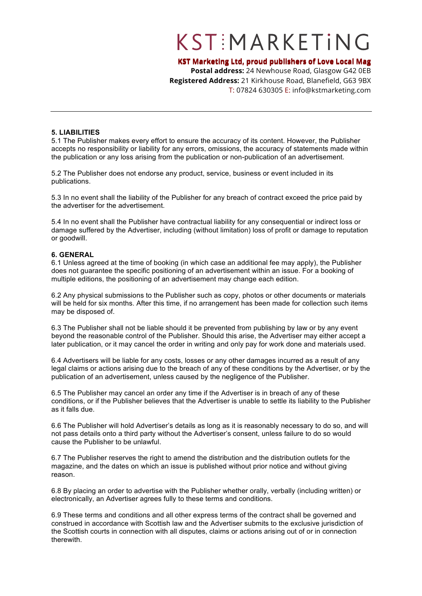# KSTEMARKETING

### **KST Marketing Ltd, proud publishers of Love Local Mag**

**Postal address:** 24 Newhouse Road, Glasgow G42 0EB **Registered Address:** 21 Kirkhouse Road, Blanefield, G63 9BX T: 07824 630305 E: info@kstmarketing.com

#### **5. LIABILITIES**

5.1 The Publisher makes every effort to ensure the accuracy of its content. However, the Publisher accepts no responsibility or liability for any errors, omissions, the accuracy of statements made within the publication or any loss arising from the publication or non-publication of an advertisement.

5.2 The Publisher does not endorse any product, service, business or event included in its publications.

5.3 In no event shall the liability of the Publisher for any breach of contract exceed the price paid by the advertiser for the advertisement.

5.4 In no event shall the Publisher have contractual liability for any consequential or indirect loss or damage suffered by the Advertiser, including (without limitation) loss of profit or damage to reputation or goodwill.

#### **6. GENERAL**

6.1 Unless agreed at the time of booking (in which case an additional fee may apply), the Publisher does not guarantee the specific positioning of an advertisement within an issue. For a booking of multiple editions, the positioning of an advertisement may change each edition.

6.2 Any physical submissions to the Publisher such as copy, photos or other documents or materials will be held for six months. After this time, if no arrangement has been made for collection such items may be disposed of.

6.3 The Publisher shall not be liable should it be prevented from publishing by law or by any event beyond the reasonable control of the Publisher. Should this arise, the Advertiser may either accept a later publication, or it may cancel the order in writing and only pay for work done and materials used.

6.4 Advertisers will be liable for any costs, losses or any other damages incurred as a result of any legal claims or actions arising due to the breach of any of these conditions by the Advertiser, or by the publication of an advertisement, unless caused by the negligence of the Publisher.

6.5 The Publisher may cancel an order any time if the Advertiser is in breach of any of these conditions, or if the Publisher believes that the Advertiser is unable to settle its liability to the Publisher as it falls due.

6.6 The Publisher will hold Advertiser's details as long as it is reasonably necessary to do so, and will not pass details onto a third party without the Advertiser's consent, unless failure to do so would cause the Publisher to be unlawful.

6.7 The Publisher reserves the right to amend the distribution and the distribution outlets for the magazine, and the dates on which an issue is published without prior notice and without giving reason.

6.8 By placing an order to advertise with the Publisher whether orally, verbally (including written) or electronically, an Advertiser agrees fully to these terms and conditions.

6.9 These terms and conditions and all other express terms of the contract shall be governed and construed in accordance with Scottish law and the Advertiser submits to the exclusive jurisdiction of the Scottish courts in connection with all disputes, claims or actions arising out of or in connection therewith.